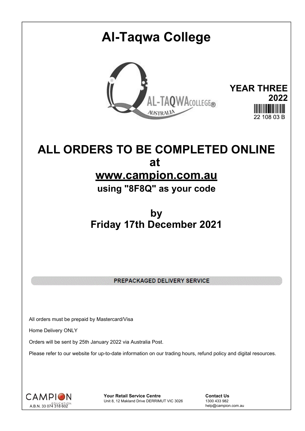# **Al-Taqwa College YEAR THREE** AL-TAQWACOLLEGE® **2022**  $22,408,03, \mathbb{R}$

# **ALL ORDERS TO BE COMPLETED ONLINE at www.campion.com.au**

**using "8F8Q" as your code**

# **by Friday 17th December 2021**

PREPACKAGED DELIVERY SERVICE

All orders must be prepaid by Mastercard/Visa

Home Delivery ONLY

Orders will be sent by 25th January 2022 via Australia Post.

Please refer to our website for up-to-date information on our trading hours, refund policy and digital resources.



**Your Retail Service Centre Contact Us**<br>
Unit 8, 12 Makland Drive DERRIMUT VIC 3026
1300 433 982 Unit 8, 12 Makland Drive DERRIMUT VIC 3026

help@campion.com.au